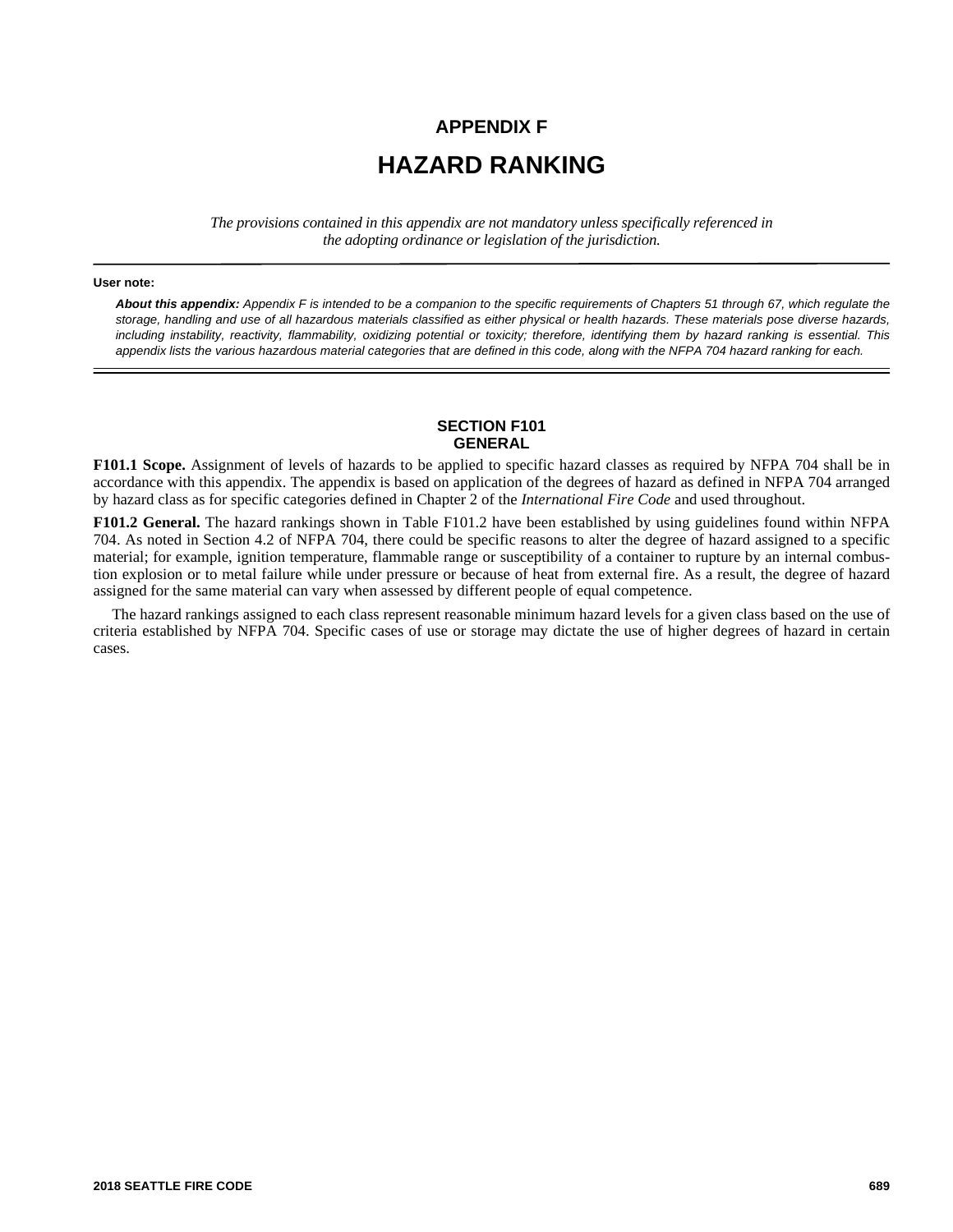## **APPENDIX F HAZARD RANKING**

*The provisions contained in this appendix are not mandatory unless specifically referenced in the adopting ordinance or legislation of the jurisdiction.*

## **User note:**

*About this appendix: Appendix F is intended to be a companion to the specific requirements of Chapters 51 through 67, which regulate the storage, handling and use of all hazardous materials classified as either physical or health hazards. These materials pose diverse hazards, including instability, reactivity, flammability, oxidizing potential or toxicity; therefore, identifying them by hazard ranking is essential. This appendix lists the various hazardous material categories that are defined in this code, along with the NFPA 704 hazard ranking for each.* 

## **SECTION F101 GENERAL**

**F101.1 Scope.** Assignment of levels of hazards to be applied to specific hazard classes as required by NFPA 704 shall be in accordance with this appendix. The appendix is based on application of the degrees of hazard as defined in NFPA 704 arranged by hazard class as for specific categories defined in Chapter 2 of the *International Fire Code* and used throughout.

**F101.2 General.** The hazard rankings shown in Table F101.2 have been established by using guidelines found within NFPA 704. As noted in Section 4.2 of NFPA 704, there could be specific reasons to alter the degree of hazard assigned to a specific material; for example, ignition temperature, flammable range or susceptibility of a container to rupture by an internal combustion explosion or to metal failure while under pressure or because of heat from external fire. As a result, the degree of hazard assigned for the same material can vary when assessed by different people of equal competence.

The hazard rankings assigned to each class represent reasonable minimum hazard levels for a given class based on the use of criteria established by NFPA 704. Specific cases of use or storage may dictate the use of higher degrees of hazard in certain cases.